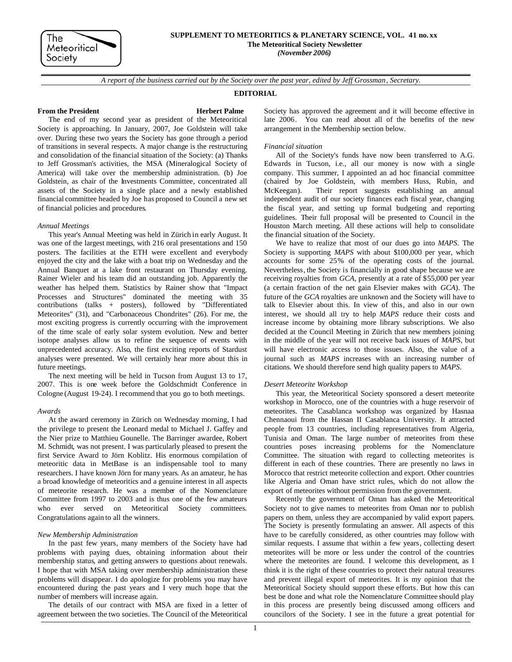## **SUPPLEMENT TO METEORITICS & PLANETARY SCIENCE, VOL. 41 no. xx**

**The Meteoritical Society Newsletter**

*(November 2006)*

*A report of the business carried out by the Society over the past year, edited by Jeff Grossman, Secretary.*

### **EDITORIAL**

## **From the President Herbert Palme**

The end of my second year as president of the Meteoritical Society is approaching. In January, 2007, Joe Goldstein will take over. During these two years the Society has gone through a period of transitions in several respects. A major change is the restructuring and consolidation of the financial situation of the Society: (a) Thanks to Jeff Grossman's activities, the MSA (Mineralogical Society of America) will take over the membership administration. (b) Joe Goldstein, as chair of the Investments Committee, concentrated all assets of the Society in a single place and a newly established financial committee headed by Joe has proposed to Council a new set of financial policies and procedures.

### *Annual Meetings*

This year's Annual Meeting was held in Zürich in early August. It was one of the largest meetings, with 216 oral presentations and 150 posters. The facilities at the ETH were excellent and everybody enjoyed the city and the lake with a boat trip on Wednesday and the Annual Banquet at a lake front restaurant on Thursday evening. Rainer Wieler and his team did an outstanding job. Apparently the weather has helped them. Statistics by Rainer show that "Impact Processes and Structures" dominated the meeting with 35 contributions (talks + posters), followed by "Differentiated Meteorites" (31), and "Carbonaceous Chondrites" (26). For me, the most exciting progress is currently occurring with the improvement of the time scale of early solar system evolution. New and better isotope analyses allow us to refine the sequence of events with unprecedented accuracy. Also, the first exciting reports of Stardust analyses were presented. We will certainly hear more about this in future meetings.

The next meeting will be held in Tucson from August 13 to 17, 2007. This is one week before the Goldschmidt Conference in Cologne (August 19-24). I recommend that you go to both meetings.

### *Awards*

At the award ceremony in Zürich on Wednesday morning, I had the privilege to present the Leonard medal to Michael J. Gaffey and the Nier prize to Matthieu Gounelle. The Barringer awardee, Robert M. Schmidt, was not present. I was particularly pleased to present the first Service Award to Jörn Koblitz. His enormous compilation of meteoritic data in MetBase is an indispensable tool to many researchers. I have known Jörn for many years. As an amateur, he has a broad knowledge of meteoritics and a genuine interest in all aspects of meteorite research. He was a member of the Nomenclature Committee from 1997 to 2003 and is thus one of the few amateurs who ever served on Meteoritical Society committees. Congratulations again to all the winners.

### *New Membership Administration*

In the past few years, many members of the Society have had problems with paying dues, obtaining information about their membership status, and getting answers to questions about renewals. I hope that with MSA taking over membership administration these problems will disappear. I do apologize for problems you may have encountered during the past years and I very much hope that the number of members will increase again.

The details of our contract with MSA are fixed in a letter of agreement between the two societies. The Council of the Meteoritical

Society has approved the agreement and it will become effective in late 2006. You can read about all of the benefits of the new arrangement in the Membership section below.

## *Financial situation*

All of the Society's funds have now been transferred to A.G. Edwards in Tucson, i.e., all our money is now with a single company. This summer, I appointed an ad hoc financial committee (chaired by Joe Goldstein, with members Huss, Rubin, and McKeegan). Their report suggests establishing an annual independent audit of our society finances each fiscal year, changing the fiscal year, and setting up formal budgeting and reporting guidelines. Their full proposal will be presented to Council in the Houston March meeting. All these actions will help to consolidate the financial situation of the Society.

We have to realize that most of our dues go into *MAPS*. The Society is supporting *MAPS* with about \$100,000 per year, which accounts for some 25% of the operating costs of the journal. Nevertheless, the Society is financially in good shape because we are receiving royalties from *GCA*, presently at a rate of \$55,000 per year (a certain fraction of the net gain Elsevier makes with *GCA*). The future of the *GCA* royalties are unknown and the Society will have to talk to Elsevier about this. In view of this, and also in our own interest, we should all try to help *MAPS* reduce their costs and increase income by obtaining more library subscriptions. We also decided at the Council Meeting in Zürich that new members joining in the middle of the year will not receive back issues of *MAPS*, but will have electronic access to those issues. Also, the value of a journal such as *MAPS* increases with an increasing number of citations. We should therefore send high quality papers to *MAPS*.

### *Desert Meteorite Workshop*

This year, the Meteoritical Society sponsored a desert meteorite workshop in Morocco, one of the countries with a huge reservoir of meteorites. The Casablanca workshop was organized by Hasnaa Chennaoui from the Hassan II Casablanca University. It attracted people from 13 countries, including representatives from Algeria, Tunisia and Oman. The large number of meteorites from these countries poses increasing problems for the Nomenclature Committee. The situation with regard to collecting meteorites is different in each of these countries. There are presently no laws in Morocco that restrict meteorite collection and export. Other countries like Algeria and Oman have strict rules, which do not allow the export of meteorites without permission from the government.

Recently the government of Oman has asked the Meteoritical Society not to give names to meteorites from Oman nor to publish papers on them, unless they are accompanied by valid export papers. The Society is presently formulating an answer. All aspects of this have to be carefully considered, as other countries may follow with similar requests. I assume that within a few years, collecting desert meteorites will be more or less under the control of the countries where the meteorites are found. I welcome this development, as I think it is the right of these countries to protect their natural treasures and prevent illegal export of meteorites. It is my opinion that the Meteoritical Society should support these efforts. But how this can best be done and what role the Nomenclature Committee should play in this process are presently being discussed among officers and councilors of the Society. I see in the future a great potential for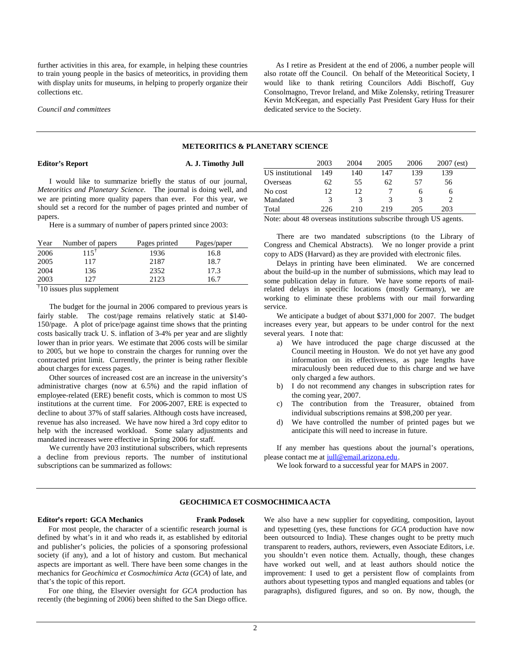further activities in this area, for example, in helping these countries to train young people in the basics of meteoritics, in providing them with display units for museums, in helping to properly organize their collections etc.

*Council and committees*

As I retire as President at the end of 2006, a number people will also rotate off the Council. On behalf of the Meteoritical Society, I would like to thank retiring Councilors Addi Bischoff, Guy Consolmagno, Trevor Ireland, and Mike Zolensky, retiring Treasurer Kevin McKeegan, and especially Past President Gary Huss for their dedicated service to the Society.

### **METEORITICS & PLANETARY SCIENCE**

### **Editor's Report A. J. Timothy Jull**

I would like to summarize briefly the status of our journal, *Meteoritics and Planetary Science*. The journal is doing well, and we are printing more quality papers than ever. For this year, we should set a record for the number of pages printed and number of papers.

Here is a summary of number of papers printed since 2003:

| Year           | Number of papers | Pages printed | Pages/paper |
|----------------|------------------|---------------|-------------|
| 2006           | $115^{\dagger}$  | 1936          | 16.8        |
| 2005           | 117              | 2187          | 18.7        |
| 2004           | 136              | 2352          | 17.3        |
| 2003           | 127              | 2123          | 16.7        |
| $\overline{1}$ |                  |               |             |

† 10 issues plus supplement

The budget for the journal in 2006 compared to previous years is fairly stable. The cost/page remains relatively static at \$140- 150/page. A plot of price/page against time shows that the printing costs basically track U. S. inflation of 3-4% per year and are slightly lower than in prior years. We estimate that 2006 costs will be similar to 2005, but we hope to constrain the charges for running over the contracted print limit. Currently, the printer is being rather flexible about charges for excess pages.

Other sources of increased cost are an increase in the university's administrative charges (now at 6.5%) and the rapid inflation of employee-related (ERE) benefit costs, which is common to most US institutions at the current time. For 2006-2007, ERE is expected to decline to about 37% of staff salaries. Although costs have increased, revenue has also increased. We have now hired a 3rd copy editor to help with the increased workload. Some salary adjustments and mandated increases were effective in Spring 2006 for staff.

We currently have 203 institutional subscribers, which represents a decline from previous reports. The number of institutional subscriptions can be summarized as follows:

|                               | 2003 | 2004 | 2005                      | 2006 | $2007$ (est) |
|-------------------------------|------|------|---------------------------|------|--------------|
| US institutional              | 149  | 140  | 147                       | 139  | 139          |
| Overseas                      | 62   | 55   | 62                        | 57   | 56           |
| No cost                       | 12.  | 12   |                           | h    | h            |
| Mandated                      |      | 3    |                           |      |              |
| Total                         | 226  | 210  | 219                       | 205  | 203          |
| $\mathbf{v}$<br>$\sim$ $\sim$ |      | .    | $\cdot$ .<br>$\mathbf{I}$ | .    | T T T T      |

Note: about 48 overseas institutions subscribe through US agents.

There are two mandated subscriptions (to the Library of Congress and Chemical Abstracts). We no longer provide a print copy to ADS (Harvard) as they are provided with electronic files.

Delays in printing have been eliminated. We are concerned about the build-up in the number of submissions, which may lead to some publication delay in future. We have some reports of mailrelated delays in specific locations (mostly Germany), we are working to eliminate these problems with our mail forwarding service.

We anticipate a budget of about \$371,000 for 2007. The budget increases every year, but appears to be under control for the next several years. I note that:

- a) We have introduced the page charge discussed at the Council meeting in Houston. We do not yet have any good information on its effectiveness, as page lengths have miraculously been reduced due to this charge and we have only charged a few authors.
- b) I do not recommend any changes in subscription rates for the coming year, 2007.
- c) The contribution from the Treasurer, obtained from individual subscriptions remains at \$98,200 per year.
- d) We have controlled the number of printed pages but we anticipate this will need to increase in future.

If any member has questions about the journal's operations, please contact me at [jull@email.arizona.edu.](mailto:jull@email.arizona.edu)

We look forward to a successful year for MAPS in 2007.

# **GEOCHIMICA ET COSMOCHIMICAACTA**

## **Editor's report: GCA Mechanics Frank Podosek**

For most people, the character of a scientific research journal is defined by what's in it and who reads it, as established by editorial and publisher's policies, the policies of a sponsoring professional society (if any), and a lot of history and custom. But mechanical aspects are important as well. There have been some changes in the mechanics for *Geochimica et Cosmochimica Acta* (*GCA*) of late, and that's the topic of this report.

For one thing, the Elsevier oversight for *GCA* production has recently (the beginning of 2006) been shifted to the San Diego office. We also have a new supplier for copyediting, composition, layout and typesetting (yes, these functions for *GCA* production have now been outsourced to India). These changes ought to be pretty much transparent to readers, authors, reviewers, even Associate Editors, i.e. you shouldn't even notice them. Actually, though, these changes have worked out well, and at least authors should notice the improvement: I used to get a persistent flow of complaints from authors about typesetting typos and mangled equations and tables (or paragraphs), disfigured figures, and so on. By now, though, the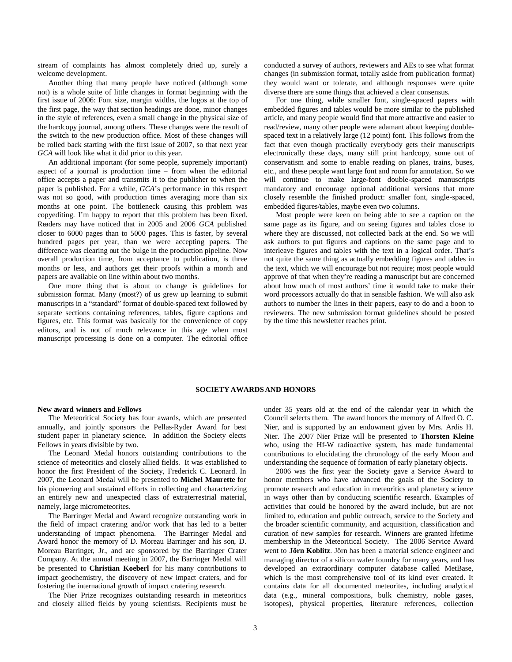stream of complaints has almost completely dried up, surely a welcome development.

Another thing that many people have noticed (although some not) is a whole suite of little changes in format beginning with the first issue of 2006: Font size, margin widths, the logos at the top of the first page, the way that section headings are done, minor changes in the style of references, even a small change in the physical size of the hardcopy journal, among others. These changes were the result of the switch to the new production office. Most of these changes will be rolled back starting with the first issue of 2007, so that next year *GCA* will look like what it did prior to this year.

An additional important (for some people, supremely important) aspect of a journal is production time – from when the editorial office accepts a paper and transmits it to the publisher to when the paper is published. For a while, *GCA*'s performance in this respect was not so good, with production times averaging more than six months at one point. The bottleneck causing this problem was copyediting. I'm happy to report that this problem has been fixed. Readers may have noticed that in 2005 and 2006 *GCA* published closer to 6000 pages than to 5000 pages. This is faster, by several hundred pages per year, than we were accepting papers. The difference was clearing out the bulge in the production pipeline. Now overall production time, from acceptance to publication, is three months or less, and authors get their proofs within a month and papers are available on line within about two months.

One more thing that is about to change is guidelines for submission format. Many (most?) of us grew up learning to submit manuscripts in a "standard" format of double-spaced text followed by separate sections containing references, tables, figure captions and figures, etc. This format was basically for the convenience of copy editors, and is not of much relevance in this age when most manuscript processing is done on a computer. The editorial office conducted a survey of authors, reviewers and AEs to see what format changes (in submission format, totally aside from publication format) they would want or tolerate, and although responses were quite diverse there are some things that achieved a clear consensus.

For one thing, while smaller font, single-spaced papers with embedded figures and tables would be more similar to the published article, and many people would find that more attractive and easier to read/review, many other people were adamant about keeping doublespaced text in a relatively large (12 point) font. This follows from the fact that even though practically everybody gets their manuscripts electronically these days, many still print hardcopy, some out of conservatism and some to enable reading on planes, trains, buses, etc., and these people want large font and room for annotation. So we will continue to make large-font double-spaced manuscripts mandatory and encourage optional additional versions that more closely resemble the finished product: smaller font, single-spaced, embedded figures/tables, maybe even two columns.

Most people were keen on being able to see a caption on the same page as its figure, and on seeing figures and tables close to where they are discussed, not collected back at the end. So we will ask authors to put figures and captions on the same page and to interleave figures and tables with the text in a logical order. That's not quite the same thing as actually embedding figures and tables in the text, which we will encourage but not require; most people would approve of that when they're reading a manuscript but are concerned about how much of most authors' time it would take to make their word processors actually do that in sensible fashion. We will also ask authors to number the lines in their papers, easy to do and a boon to reviewers. The new submission format guidelines should be posted by the time this newsletter reaches print.

## **SOCIETY AWARDSAND HONORS**

### **New award winners and Fellows**

The Meteoritical Society has four awards, which are presented annually, and jointly sponsors the Pellas-Ryder Award for best student paper in planetary science. In addition the Society elects Fellows in years divisible by two.

The Leonard Medal honors outstanding contributions to the science of meteoritics and closely allied fields. It was established to honor the first President of the Society, Frederick C. Leonard. In 2007, the Leonard Medal will be presented to **Michel Maurette** for his pioneering and sustained efforts in collecting and characterizing an entirely new and unexpected class of extraterrestrial material, namely, large micrometeorites.

The Barringer Medal and Award recognize outstanding work in the field of impact cratering and/or work that has led to a better understanding of impact phenomena. The Barringer Medal and Award honor the memory of D. Moreau Barringer and his son, D. Moreau Barringer, Jr., and are sponsored by the Barringer Crater Company. At the annual meeting in 2007, the Barringer Medal will be presented to **Christian Koeberl** for his many contributions to impact geochemistry, the discovery of new impact craters, and for fostering the international growth of impact cratering research.

The Nier Prize recognizes outstanding research in meteoritics and closely allied fields by young scientists. Recipients must be under 35 years old at the end of the calendar year in which the Council selects them. The award honors the memory of Alfred O. C. Nier, and is supported by an endowment given by Mrs. Ardis H. Nier. The 2007 Nier Prize will be presented to **Thorsten Kleine** who, using the Hf-W radioactive system, has made fundamental contributions to elucidating the chronology of the early Moon and understanding the sequence of formation of early planetary objects.

2006 was the first year the Society gave a Service Award to honor members who have advanced the goals of the Society to promote research and education in meteoritics and planetary science in ways other than by conducting scientific research. Examples of activities that could be honored by the award include, but are not limited to, education and public outreach, service to the Society and the broader scientific community, and acquisition, classification and curation of new samples for research. Winners are granted lifetime membership in the Meteoritical Society. The 2006 Service Award went to **Jörn Koblitz**. Jörn has been a material science engineer and managing director of a silicon wafer foundry for many years, and has developed an extraordinary computer database called MetBase, which is the most comprehensive tool of its kind ever created. It contains data for all documented meteorites, including analytical data (e.g., mineral compositions, bulk chemistry, noble gases, isotopes), physical properties, literature references, collection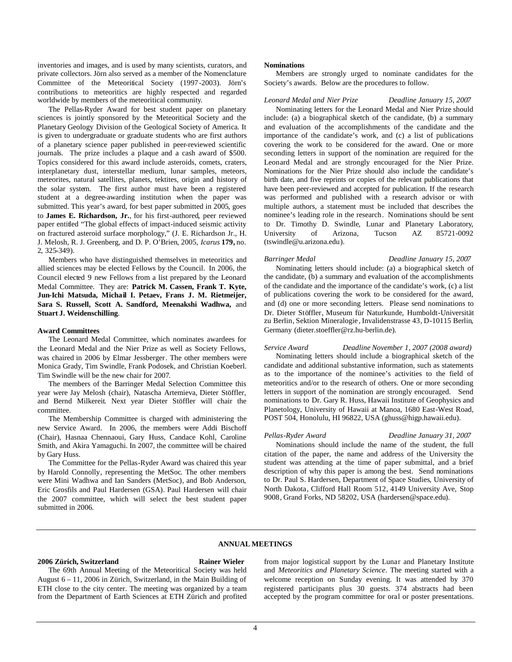inventories and images, and is used by many scientists, curators, and private collectors. Jörn also served as a member of the Nomenclature Committee of the Meteoritical Society (1997-2003). Jörn's contributions to meteoritics are highly respected and regarded worldwide by members of the meteoritical community.

The Pellas-Ryder Award for best student paper on planetary sciences is jointly sponsored by the Meteoritical Society and the Planetary Geology Division of the Geological Society of America. It is given to undergraduate or graduate students who are first authors of a planetary science paper published in peer-reviewed scientific journals. The prize includes a plaque and a cash award of \$500. Topics considered for this award include asteroids, comets, craters, interplanetary dust, interstellar medium, lunar samples, meteors, meteorites, natural satellites, planets, tektites, origin and history of the solar system. The first author must have been a registered student at a degree-awarding institution when the paper was submitted. This year's award, for best paper submitted in 2005, goes to **James E. Richardson, Jr.**, for his first-authored, peer reviewed paper entitled "The global effects of impact-induced seismic activity on fractured asteroid surface morphology," (J. E. Richardson Jr., H. J. Melosh, R. J. Greenberg, and D. P. O'Brien, 2005, *Icarus* **179,** no. 2, 325-349).

Members who have distinguished themselves in meteoritics and allied sciences may be elected Fellows by the Council. In 2006, the Council elected 9 new Fellows from a list prepared by the Leonard Medal Committee. They are: **Patrick M. Cassen, Frank T. Kyte, Jun-Ichi Matsuda, Michail I. Petaev, Frans J. M. Rietmeijer, Sara S. Russell, Scott A. Sandford, Meenakshi Wadhwa,** and **Stuart J. Weidenschilling**.

### **Award Committees**

The Leonard Medal Committee, which nominates awardees for the Leonard Medal and the Nier Prize as well as Society Fellows, was chaired in 2006 by Elmar Jessberger. The other members were Monica Grady, Tim Swindle, Frank Podosek, and Christian Koeberl. Tim Swindle will be the new chair for 2007.

The members of the Barringer Medal Selection Committee this year were Jay Melosh (chair), Natascha Artemieva, Dieter Stöffler, and Bernd Milkereit. Next year Dieter Stöffler will chair the committee.

The Membership Committee is charged with administering the new Service Award. In 2006, the members were Addi Bischoff (Chair), Hasnaa Chennaoui, Gary Huss, Candace Kohl, Caroline Smith, and Akira Yamaguchi. In 2007, the committee will be chaired by Gary Huss.

The Committee for the Pellas-Ryder Award was chaired this year by Harold Connolly, representing the MetSoc. The other members were Mini Wadhwa and Ian Sanders (MetSoc), and Bob Anderson, Eric Grosfils and Paul Hardersen (GSA). Paul Hardersen will chair the 2007 committee, which will select the best student paper submitted in 2006.

### **Nominations**

Members are strongly urged to nominate candidates for the Society's awards. Below are the procedures to follow.

### *Leonard Medal and Nier Prize Deadline January 15, 2007*

Nominating letters for the Leonard Medal and Nier Prize should include: (a) a biographical sketch of the candidate, (b) a summary and evaluation of the accomplishments of the candidate and the importance of the candidate's work, and (c) a list of publications covering the work to be considered for the award. One or more seconding letters in support of the nomination are required for the Leonard Medal and are strongly encouraged for the Nier Prize. Nominations for the Nier Prize should also include the candidate's birth date, and five reprints or copies of the relevant publications that have been peer-reviewed and accepted for publication. If the research was performed and published with a research advisor or with multiple authors, a statement must be included that describes the nominee's leading role in the research. Nominations should be sent to Dr. Timothy D. Swindle, Lunar and Planetary Laboratory, University of Arizona, Tucson AZ 85721-0092 (tswindle@u.arizona.edu).

### *Barringer Medal Deadline January 15, 2007*

Nominating letters should include: (a) a biographical sketch of the candidate, (b) a summary and evaluation of the accomplishments of the candidate and the importance of the candidate's work, (c) a list of publications covering the work to be considered for the award, and (d) one or more seconding letters. Please send nominations to Dr. Dieter Stöffler, Museum für Naturkunde, Humboldt-Universität zu Berlin, Sektion Mineralogie, Invalidenstrasse 43, D-10115 Berlin, Germany (dieter.stoeffler@rz.hu-berlin.de).

*Service Award Deadline November 1, 2007 (2008 award)* Nominating letters should include a biographical sketch of the candidate and additional substantive information, such as statements as to the importance of the nominee's activities to the field of meteoritics and/or to the research of others. One or more seconding letters in support of the nomination are strongly encouraged. Send nominations to Dr. Gary R. Huss, Hawaii Institute of Geophysics and Planetology, University of Hawaii at Manoa, 1680 East-West Road, POST 504, Honolulu, HI 96822, USA (ghuss@higp.hawaii.edu).

*Pellas-Ryder Award Deadline January 31, 2007*

Nominations should include the name of the student, the full citation of the paper, the name and address of the University the student was attending at the time of paper submittal, and a brief description of why this paper is among the best. Send nominations to Dr. Paul S. Hardersen, Department of Space Studies, University of North Dakota, Clifford Hall Room 512, 4149 University Ave, Stop 9008, Grand Forks, ND 58202, USA (hardersen@space.edu).

### **ANNUAL MEETINGS**

### **2006 Zürich, Switzerland Rainer Wieler**

The 69th Annual Meeting of the Meteoritical Society was held August 6 – 11, 2006 in Zürich, Switzerland, in the Main Building of ETH close to the city center. The meeting was organized by a team from the Department of Earth Sciences at ETH Zürich and profited from major logistical support by the Lunar and Planetary Institute and *Meteoritics and Planetary Science*. The meeting started with a welcome reception on Sunday evening. It was attended by 370 registered participants plus 30 guests. 374 abstracts had been accepted by the program committee for oral or poster presentations.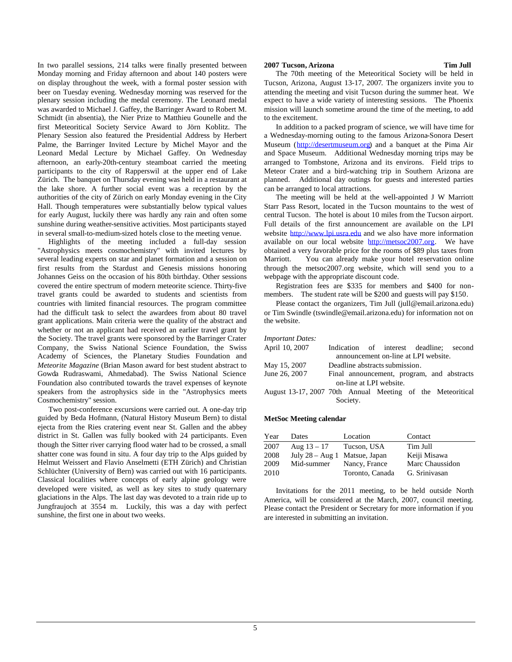In two parallel sessions, 214 talks were finally presented between Monday morning and Friday afternoon and about 140 posters were on display throughout the week, with a formal poster session with beer on Tuesday evening. Wednesday morning was reserved for the plenary session including the medal ceremony. The Leonard medal was awarded to Michael J. Gaffey, the Barringer Award to Robert M. Schmidt (in absentia), the Nier Prize to Matthieu Gounelle and the first Meteoritical Society Service Award to Jörn Koblitz. The Plenary Session also featured the Presidential Address by Herbert Palme, the Barringer Invited Lecture by Michel Mayor and the Leonard Medal Lecture by Michael Gaffey. On Wednesday afternoon, an early-20th-century steamboat carried the meeting participants to the city of Rapperswil at the upper end of Lake Zürich. The banquet on Thursday evening was held in a restaurant at the lake shore. A further social event was a reception by the authorities of the city of Zürich on early Monday evening in the City Hall. Though temperatures were substantially below typical values for early August, luckily there was hardly any rain and often some sunshine during weather-sensitive activities. Most participants stayed in several small-to-medium-sized hotels close to the meeting venue.

Highlights of the meeting included a full-day session "Astrophysics meets cosmochemistry" with invited lectures by several leading experts on star and planet formation and a session on first results from the Stardust and Genesis missions honoring Johannes Geiss on the occasion of his 80th birthday. Other sessions covered the entire spectrum of modern meteorite science. Thirty-five travel grants could be awarded to students and scientists from countries with limited financial resources. The program committee had the difficult task to select the awardees from about 80 travel grant applications. Main criteria were the quality of the abstract and whether or not an applicant had received an earlier travel grant by the Society. The travel grants were sponsored by the Barringer Crater Company, the Swiss National Science Foundation, the Swiss Academy of Sciences, the Planetary Studies Foundation and *Meteorite Magazine* (Brian Mason award for best student abstract to Gowda Rudraswami, Ahmedabad). The Swiss National Science Foundation also contributed towards the travel expenses of keynote speakers from the astrophysics side in the "Astrophysics meets Cosmochemistry" session.

Two post-conference excursions were carried out. A one-day trip guided by Beda Hofmann, (Natural History Museum Bern) to distal ejecta from the Ries cratering event near St. Gallen and the abbey district in St. Gallen was fully booked with 24 participants. Even though the Sitter river carrying flood water had to be crossed, a small shatter cone was found in situ. A four day trip to the Alps guided by Helmut Weissert and Flavio Anselmetti (ETH Zürich) and Christian Schlüchter (University of Bern) was carried out with 16 participants. Classical localities where concepts of early alpine geology were developed were visited, as well as key sites to study quaternary glaciations in the Alps. The last day was devoted to a train ride up to Jungfraujoch at 3554 m. Luckily, this was a day with perfect sunshine, the first one in about two weeks.

# **2007 Tucson, Arizona Tim Jull**

The 70th meeting of the Meteoritical Society will be held in Tucson, Arizona, August 13-17, 2007. The organizers invite you to attending the meeting and visit Tucson during the summer heat. We expect to have a wide variety of interesting sessions. The Phoenix mission will launch sometime around the time of the meeting, to add to the excitement.

In addition to a packed program of science, we will have time for a Wednesday-morning outing to the famous Arizona-Sonora Desert Museum([http://desertmuseum.org\)](http://desertmuseum.org/) and a banquet at the Pima Air and Space Museum. Additional Wednesday morning trips may be arranged to Tombstone, Arizona and its environs. Field trips to Meteor Crater and a bird-watching trip in Southern Arizona are planned. Additional day outings for guests and interested parties can be arranged to local attractions.

The meeting will be held at the well-appointed J W Marriott Starr Pass Resort, located in the Tucson mountains to the west of central Tucson. The hotel is about 10 miles from the Tucson airport. Full details of the first announcement are available on the LPI website [http://www.lpi.usra.edu](http://www.lpi.usra.edu/) and we also have more information available on our local website [http://metsoc2007.org.](http://metsoc2007.org/) We have obtained a very favorable price for the rooms of \$89 plus taxes from You can already make your hotel reservation online through the metsoc2007.org website, which will send you to a webpage with the appropriate discount code.

Registration fees are \$335 for members and \$400 for nonmembers. The student rate will be \$200 and guests will pay \$150.

Please contact the organizers, Tim Jull (jull@email.arizona.edu) or Tim Swindle (tswindle@email.arizona.edu) for information not on the website.

### *Important Dates:*

| April 10, 2007                                             |                                |  |                                      |  |  | Indication of interest deadline; second    |
|------------------------------------------------------------|--------------------------------|--|--------------------------------------|--|--|--------------------------------------------|
|                                                            |                                |  | announcement on-line at LPI website. |  |  |                                            |
| May 15, 2007                                               | Deadline abstracts submission. |  |                                      |  |  |                                            |
| June 26, 2007                                              |                                |  |                                      |  |  | Final announcement, program, and abstracts |
| on-line at LPI website.                                    |                                |  |                                      |  |  |                                            |
| August 13-17, 2007 70th Annual Meeting of the Meteoritical |                                |  |                                      |  |  |                                            |
| Society.                                                   |                                |  |                                      |  |  |                                            |

## **MetSoc Meeting calendar**

| Year | Dates                         | Location        | Contact         |
|------|-------------------------------|-----------------|-----------------|
| 2007 | Aug $13 - 17$                 | Tucson, USA     | Tim Jull        |
| 2008 | July 28 – Aug 1 Matsue, Japan |                 | Keiji Misawa    |
| 2009 | Mid-summer                    | Nancy, France   | Marc Chaussidon |
| 2010 |                               | Toronto, Canada | G. Srinivasan   |

Invitations for the 2011 meeting, to be held outside North America, will be considered at the March, 2007, council meeting. Please contact the President or Secretary for more information if you are interested in submitting an invitation.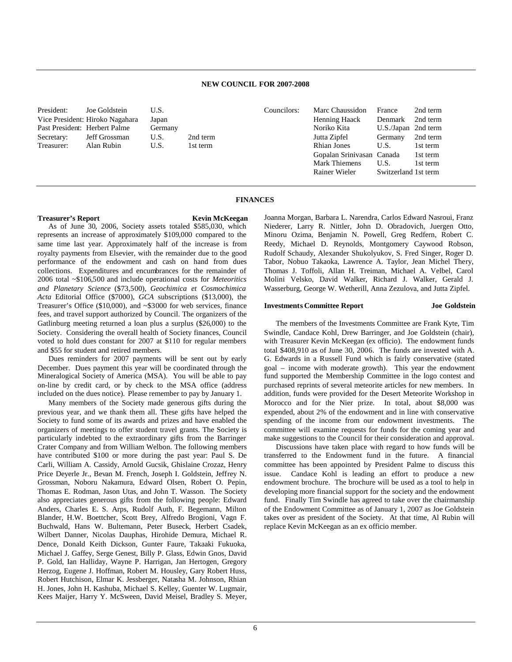## **NEW COUNCIL FOR 2007-2008**

Councilors:

President: Joe Goldstein U.S. Vice President: Hiroko Nagahara Japan Past President: Herbert Palme Secretary: Jeff Grossman U.S. 2nd term Treasurer: Alan Rubin U.S. 1st term

| Marc Chaussidon           | France               | 2nd term |
|---------------------------|----------------------|----------|
| Henning Haack             | Denmark              | 2nd term |
| Noriko Kita               | U.S./Japan           | 2nd term |
| Jutta Zipfel              | Germany              | 2nd term |
| <b>Rhian Jones</b>        | U.S.                 | 1st term |
| Gopalan Srinivasan Canada |                      | 1st term |
| <b>Mark Thiemens</b>      | U.S.                 | 1st term |
| Rainer Wieler             | Switzerland 1st term |          |

### **FINANCES**

### **Treasurer's Report Kevin McKeegan**

Joanna Morgan, Barbara L. Narendra, Carlos Edward Nasroui, Franz Niederer, Larry R. Nittler, John D. Obradovich, Juergen Otto, Minoru Ozima, Benjamin N. Powell, Greg Redfern, Robert C. Reedy, Michael D. Reynolds, Montgomery Caywood Robson, Rudolf Schaudy, Alexander Shukolyukov, S. Fred Singer, Roger D. Tabor, Nobuo Takaoka, Lawrence A. Taylor, Jean Michel Thery, Thomas J. Toffoli, Allan H. Treiman, Michael A. Velbel, Carol Molini Velsko, David Walker, Richard J. Walker, Gerald J.

Wasserburg, George W. Wetherill, Anna Zezulova, and Jutta Zipfel.

### **Investments Committee Report Joe Goldstein**

The members of the Investments Committee are Frank Kyte, Tim Swindle, Candace Kohl, Drew Barringer, and Joe Goldstein (chair), with Treasurer Kevin McKeegan (ex officio). The endowment funds total \$408,910 as of June 30, 2006. The funds are invested with A. G. Edwards in a Russell Fund which is fairly conservative (stated goal – income with moderate growth). This year the endowment fund supported the Membership Committee in the logo contest and purchased reprints of several meteorite articles for new members. In addition, funds were provided for the Desert Meteorite Workshop in Morocco and for the Nier prize. In total, about \$8,000 was expended, about 2% of the endowment and in line with conservative spending of the income from our endowment investments. The committee will examine requests for funds for the coming year and make suggestions to the Council for their consideration and approval.

Discussions have taken place with regard to how funds will be transferred to the Endowment fund in the future. A financial committee has been appointed by President Palme to discuss this issue. Candace Kohl is leading an effort to produce a new endowment brochure. The brochure will be used as a tool to help in developing more financial support for the society and the endowment fund. Finally Tim Swindle has agreed to take over the chairmanship of the Endowment Committee as of January 1, 2007 as Joe Goldstein takes over as president of the Society. At that time, Al Rubin will replace Kevin McKeegan as an ex officio member.

represents an increase of approximately \$109,000 compared to the same time last year. Approximately half of the increase is from royalty payments from Elsevier, with the remainder due to the good performance of the endowment and cash on hand from dues collections. Expenditures and encumbrances for the remainder of 2006 total ~\$106,500 and include operational costs for *Meteoritics and Planetary Science* (\$73,500), *Geochimica et Cosmochimica Acta* Editorial Office (\$7000), *GCA* subscriptions (\$13,000), the Treasurer's Office (\$10,000), and ~\$3000 for web services, finance fees, and travel support authorized by Council. The organizers of the Gatlinburg meeting returned a loan plus a surplus (\$26,000) to the Society. Considering the overall health of Society finances, Council voted to hold dues constant for 2007 at \$110 for regular members and \$55 for student and retired members.

As of June 30, 2006, Society assets totaled \$585,030, which

Dues reminders for 2007 payments will be sent out by early December. Dues payment this year will be coordinated through the Mineralogical Society of America (MSA). You will be able to pay on-line by credit card, or by check to the MSA office (address included on the dues notice). Please remember to pay by January 1.

Many members of the Society made generous gifts during the previous year, and we thank them all. These gifts have helped the Society to fund some of its awards and prizes and have enabled the organizers of meetings to offer student travel grants. The Society is particularly indebted to the extraordinary gifts from the Barringer Crater Company and from William Welbon. The following members have contributed \$100 or more during the past year: Paul S. De Carli, William A. Cassidy, Arnold Gucsik, Ghislaine Crozaz, Henry Price Deyerle Jr., Bevan M. French, Joseph I. Goldstein, Jeffrey N. Grossman, Noboru Nakamura, Edward Olsen, Robert O. Pepin, Thomas E. Rodman, Jason Utas, and John T. Wasson. The Society also appreciates generous gifts from the following people: Edward Anders, Charles E. S. Arps, Rudolf Auth, F. Begemann, Milton Blander, H.W. Boettcher, Scott Brey, Alfredo Brogioni, Vagn F. Buchwald, Hans W. Bultemann, Peter Buseck, Herbert Csadek, Wilbert Danner, Nicolas Dauphas, Hirohide Demura, Michael R. Dence, Donald Keith Dickson, Gunter Faure, Takaaki Fukuoka, Michael J. Gaffey, Serge Genest, Billy P. Glass, Edwin Gnos, David P. Gold, Ian Halliday, Wayne P. Harrigan, Jan Hertogen, Gregory Herzog, Eugene J. Hoffman, Robert M. Housley, Gary Robert Huss, Robert Hutchison, Elmar K. Jessberger, Natasha M. Johnson, Rhian H. Jones, John H. Kashuba, Michael S. Kelley, Guenter W. Lugmair, Kees Maijer, Harry Y. McSween, David Meisel, Bradley S. Meyer,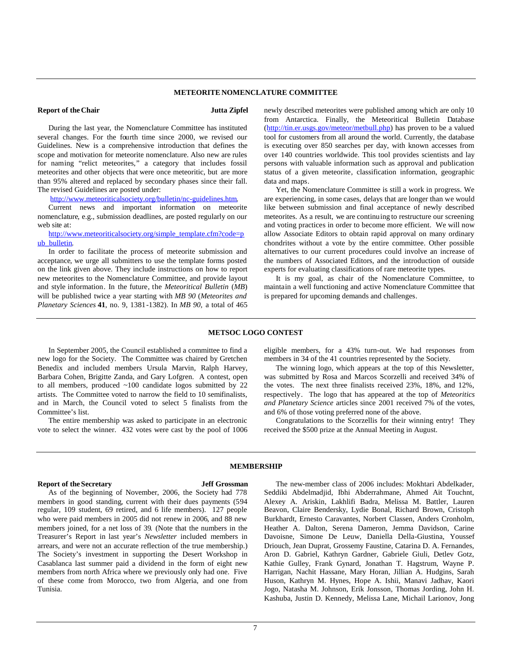## **METEORITE NOMENCLATURE COMMITTEE**

## **Report of the Chair Jutta Zipfel**

During the last year, the Nomenclature Committee has instituted several changes. For the fourth time since 2000, we revised our Guidelines. New is a comprehensive introduction that defines the scope and motivation for meteorite nomenclature. Also new are rules for naming "relict meteorites," a category that includes fossil meteorites and other objects that were once meteoritic, but are more than 95% altered and replaced by secondary phases since their fall. The revised Guidelines are posted under:

[http://www.meteoriticalsociety.org/bulletin/nc-guidelines.htm.](http://www.meteoriticalsociety.org/bulletin/nc-guidelines.htm)

Current news and important information on meteorite nomenclature, e.g., submission deadlines, are posted regularly on our web site at:

[http://www.meteoriticalsociety.org/simple\\_template.cfm?code=p](http://www.meteoriticalsociety.org/simple_template.cfm?code=pub_bulletin) [ub\\_bulletin.](http://www.meteoriticalsociety.org/simple_template.cfm?code=pub_bulletin)

In order to facilitate the process of meteorite submission and acceptance, we urge all submitters to use the template forms posted on the link given above. They include instructions on how to report new meteorites to the Nomenclature Committee, and provide layout and style information. In the future, the *Meteoritical Bulletin* (*MB*) will be published twice a year starting with *MB 90* (*Meteorites and Planetary Sciences* **41**, no. 9, 1381-1382). In *MB 90,* a total of 465 newly described meteorites were published among which are only 10 from Antarctica. Finally, the Meteoritical Bulletin Database ([http://tin.er.usgs.gov/meteor/metbull.php\)](http://tin.er.usgs.gov/meteor/metbull.php) has proven to be a valued tool for customers from all around the world. Currently, the database is executing over 850 searches per day, with known accesses from over 140 countries worldwide. This tool provides scientists and lay persons with valuable information such as approval and publication status of a given meteorite, classification information, geographic data and maps.

Yet, the Nomenclature Committee is still a work in progress. We are experiencing, in some cases, delays that are longer than we would like between submission and final acceptance of newly described meteorites. As a result, we are continuing to restructure our screening and voting practices in order to become more efficient. We will now allow Associate Editors to obtain rapid approval on many ordinary chondrites without a vote by the entire committee. Other possible alternatives to our current procedures could involve an increase of the numbers of Associated Editors, and the introduction of outside experts for evaluating classifications of rare meteorite types.

It is my goal, as chair of the Nomenclature Committee, to maintain a well functioning and active Nomenclature Committee that is prepared for upcoming demands and challenges.

### **METSOC LOGO CONTEST**

In September 2005, the Council established a committee to find a new logo for the Society. The Committee was chaired by Gretchen Benedix and included members Ursula Marvin, Ralph Harvey, Barbara Cohen, Brigitte Zanda, and Gary Lofgren. A contest, open to all members, produced ~100 candidate logos submitted by 22 artists. The Committee voted to narrow the field to 10 semifinalists, and in March, the Council voted to select 5 finalists from the Committee's list.

The entire membership was asked to participate in an electronic vote to select the winner. 432 votes were cast by the pool of 1006 eligible members, for a 43% turn-out. We had responses from members in 34 of the 41 countries represented by the Society.

The winning logo, which appears at the top of this Newsletter, was submitted by Rosa and Marcos Scorzelli and received 34% of the votes. The next three finalists received 23%, 18%, and 12%, respectively. The logo that has appeared at the top of *Meteoritics and Planetary Science* articles since 2001 received 7% of the votes, and 6% of those voting preferred none of the above.

Congratulations to the Scorzellis for their winning entry! They received the \$500 prize at the Annual Meeting in August.

## **Report of the Secretary Jeff Grossman**

**MEMBERSHIP**

As of the beginning of November, 2006, the Society had 778 members in good standing, current with their dues payments (594 regular, 109 student, 69 retired, and 6 life members). 127 people who were paid members in 2005 did not renew in 2006, and 88 new members joined, for a net loss of 39. (Note that the numbers in the Treasurer's Report in last year's *Newsletter* included members in arrears, and were not an accurate reflection of the true membership.) The Society's investment in supporting the Desert Workshop in Casablanca last summer paid a dividend in the form of eight new members from north Africa where we previously only had one. Five of these come from Morocco, two from Algeria, and one from Tunisia.

The new-member class of 2006 includes: Mokhtari Abdelkader, Seddiki Abdelmadjid, Ibhi Abderrahmane, Ahmed Ait Touchnt, Alexey A. Ariskin, Lakhlifi Badra, Melissa M. Battler, Lauren Beavon, Claire Bendersky, Lydie Bonal, Richard Brown, Cristoph Burkhardt, Ernesto Caravantes, Norbert Classen, Anders Cronholm, Heather A. Dalton, Serena Dameron, Jemma Davidson, Carine Davoisne, Simone De Leuw, Daniella Della-Giustina, Youssef Driouch, Jean Duprat, Grossemy Faustine, Catarina D. A. Fernandes, Aron D. Gabriel, Kathryn Gardner, Gabriele Giuli, Detlev Gotz, Kathie Gulley, Frank Gynard, Jonathan T. Hagstrum, Wayne P. Harrigan, Nachit Hassane, Mary Horan, Jillian A. Hudgins, Sarah Huson, Kathryn M. Hynes, Hope A. Ishii, Manavi Jadhav, Kaori Jogo, Natasha M. Johnson, Erik Jonsson, Thomas Jording, John H. Kashuba, Justin D. Kennedy, Melissa Lane, Michail Larionov, Jong